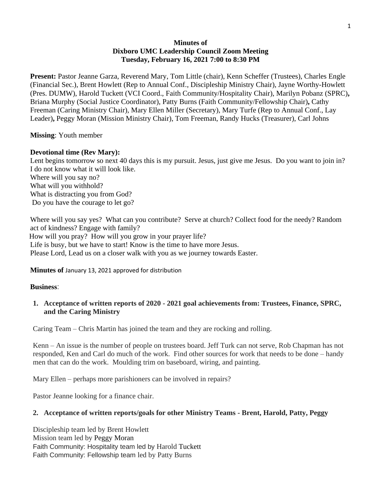# **Minutes of Dixboro UMC Leadership Council Zoom Meeting Tuesday, February 16, 2021 7:00 to 8:30 PM**

**Present:** Pastor Jeanne Garza, Reverend Mary, Tom Little (chair), Kenn Scheffer (Trustees), Charles Engle (Financial Sec.), Brent Howlett (Rep to Annual Conf., Discipleship Ministry Chair), Jayne Worthy-Howlett (Pres. DUMW), Harold Tuckett (VCI Coord., Faith Community/Hospitality Chair), Marilyn Pobanz (SPRC)**,** Briana Murphy (Social Justice Coordinator), Patty Burns (Faith Community/Fellowship Chair)**,** Cathy Freeman (Caring Ministry Chair), Mary Ellen Miller (Secretary), Mary Turfe (Rep to Annual Conf., Lay Leader)**,** Peggy Moran (Mission Ministry Chair), Tom Freeman, Randy Hucks (Treasurer), Carl Johns

**Missing**: Youth member

### **Devotional time (Rev Mary):**

Lent begins tomorrow so next 40 days this is my pursuit. Jesus, just give me Jesus. Do you want to join in? I do not know what it will look like. Where will you say no? What will you withhold? What is distracting you from God? Do you have the courage to let go?

Where will you say yes? What can you contribute? Serve at church? Collect food for the needy? Random act of kindness? Engage with family? How will you pray? How will you grow in your prayer life? Life is busy, but we have to start! Know is the time to have more Jesus. Please Lord, Lead us on a closer walk with you as we journey towards Easter.

**Minutes of** January 13, 2021 approved for distribution

#### **Business**:

# **1. Acceptance of written reports of 2020 - 2021 goal achievements from: Trustees, Finance, SPRC, and the Caring Ministry**

Caring Team – Chris Martin has joined the team and they are rocking and rolling.

Kenn – An issue is the number of people on trustees board. Jeff Turk can not serve, Rob Chapman has not responded, Ken and Carl do much of the work. Find other sources for work that needs to be done – handy men that can do the work. Moulding trim on baseboard, wiring, and painting.

Mary Ellen – perhaps more parishioners can be involved in repairs?

Pastor Jeanne looking for a finance chair.

# **2. Acceptance of written reports/goals for other Ministry Teams - Brent, Harold, Patty, Peggy**

Discipleship team led by Brent Howlett Mission team led by Peggy Moran Faith Community: Hospitality team led by Harold Tuckett Faith Community: Fellowship team led by Patty Burns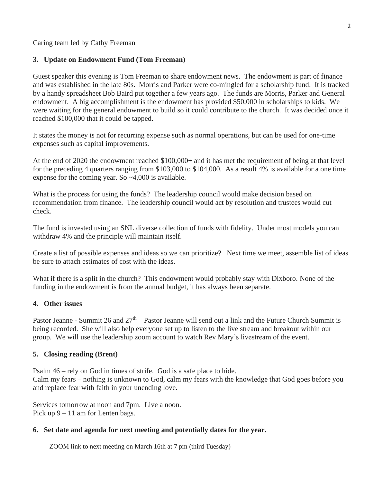Caring team led by Cathy Freeman

### **3. Update on Endowment Fund (Tom Freeman)**

Guest speaker this evening is Tom Freeman to share endowment news. The endowment is part of finance and was established in the late 80s. Morris and Parker were co-mingled for a scholarship fund. It is tracked by a handy spreadsheet Bob Baird put together a few years ago. The funds are Morris, Parker and General endowment. A big accomplishment is the endowment has provided \$50,000 in scholarships to kids. We were waiting for the general endowment to build so it could contribute to the church. It was decided once it reached \$100,000 that it could be tapped.

It states the money is not for recurring expense such as normal operations, but can be used for one-time expenses such as capital improvements.

At the end of 2020 the endowment reached \$100,000+ and it has met the requirement of being at that level for the preceding 4 quarters ranging from \$103,000 to \$104,000. As a result 4% is available for a one time expense for the coming year. So ~4,000 is available.

What is the process for using the funds? The leadership council would make decision based on recommendation from finance. The leadership council would act by resolution and trustees would cut check.

The fund is invested using an SNL diverse collection of funds with fidelity. Under most models you can withdraw 4% and the principle will maintain itself.

Create a list of possible expenses and ideas so we can prioritize? Next time we meet, assemble list of ideas be sure to attach estimates of cost with the ideas.

What if there is a split in the church? This endowment would probably stay with Dixboro. None of the funding in the endowment is from the annual budget, it has always been separate.

#### **4. Other issues**

Pastor Jeanne - Summit 26 and  $27<sup>th</sup>$  – Pastor Jeanne will send out a link and the Future Church Summit is being recorded. She will also help everyone set up to listen to the live stream and breakout within our group. We will use the leadership zoom account to watch Rev Mary's livestream of the event.

# **5. Closing reading (Brent)**

Psalm 46 – rely on God in times of strife. God is a safe place to hide.

Calm my fears – nothing is unknown to God, calm my fears with the knowledge that God goes before you and replace fear with faith in your unending love.

Services tomorrow at noon and 7pm. Live a noon. Pick up 9 – 11 am for Lenten bags.

#### **6. Set date and agenda for next meeting and potentially dates for the year.**

ZOOM link to next meeting on March 16th at 7 pm (third Tuesday)